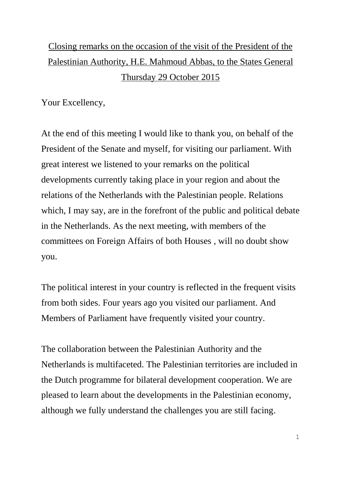## Closing remarks on the occasion of the visit of the President of the Palestinian Authority, H.E. Mahmoud Abbas, to the States General Thursday 29 October 2015

Your Excellency,

At the end of this meeting I would like to thank you, on behalf of the President of the Senate and myself, for visiting our parliament. With great interest we listened to your remarks on the political developments currently taking place in your region and about the relations of the Netherlands with the Palestinian people. Relations which, I may say, are in the forefront of the public and political debate in the Netherlands. As the next meeting, with members of the committees on Foreign Affairs of both Houses , will no doubt show you.

The political interest in your country is reflected in the frequent visits from both sides. Four years ago you visited our parliament. And Members of Parliament have frequently visited your country.

The collaboration between the Palestinian Authority and the Netherlands is multifaceted. The Palestinian territories are included in the Dutch programme for bilateral development cooperation. We are pleased to learn about the developments in the Palestinian economy, although we fully understand the challenges you are still facing.